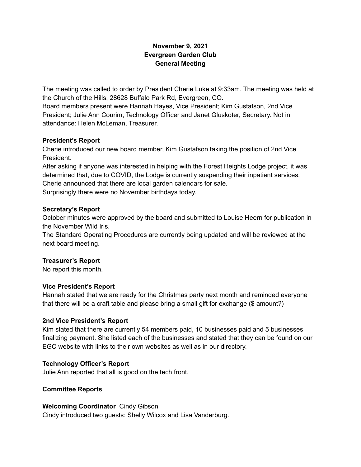# **November 9, 2021 Evergreen Garden Club General Meeting**

The meeting was called to order by President Cherie Luke at 9:33am. The meeting was held at the Church of the Hills, 28628 Buffalo Park Rd, Evergreen, CO.

Board members present were Hannah Hayes, Vice President; Kim Gustafson, 2nd Vice President; Julie Ann Courim, Technology Officer and Janet Gluskoter, Secretary. Not in attendance: Helen McLeman, Treasurer.

### **President's Report**

Cherie introduced our new board member, Kim Gustafson taking the position of 2nd Vice President.

After asking if anyone was interested in helping with the Forest Heights Lodge project, it was determined that, due to COVID, the Lodge is currently suspending their inpatient services. Cherie announced that there are local garden calendars for sale. Surprisingly there were no November birthdays today.

### **Secretary's Report**

October minutes were approved by the board and submitted to Louise Heern for publication in the November Wild Iris.

The Standard Operating Procedures are currently being updated and will be reviewed at the next board meeting.

## **Treasurer's Report**

No report this month.

## **Vice President's Report**

Hannah stated that we are ready for the Christmas party next month and reminded everyone that there will be a craft table and please bring a small gift for exchange (\$ amount?)

## **2nd Vice President's Report**

Kim stated that there are currently 54 members paid, 10 businesses paid and 5 businesses finalizing payment. She listed each of the businesses and stated that they can be found on our EGC website with links to their own websites as well as in our directory.

## **Technology Officer's Report**

Julie Ann reported that all is good on the tech front.

#### **Committee Reports**

## **Welcoming Coordinator** Cindy Gibson

Cindy introduced two guests: Shelly Wilcox and Lisa Vanderburg.